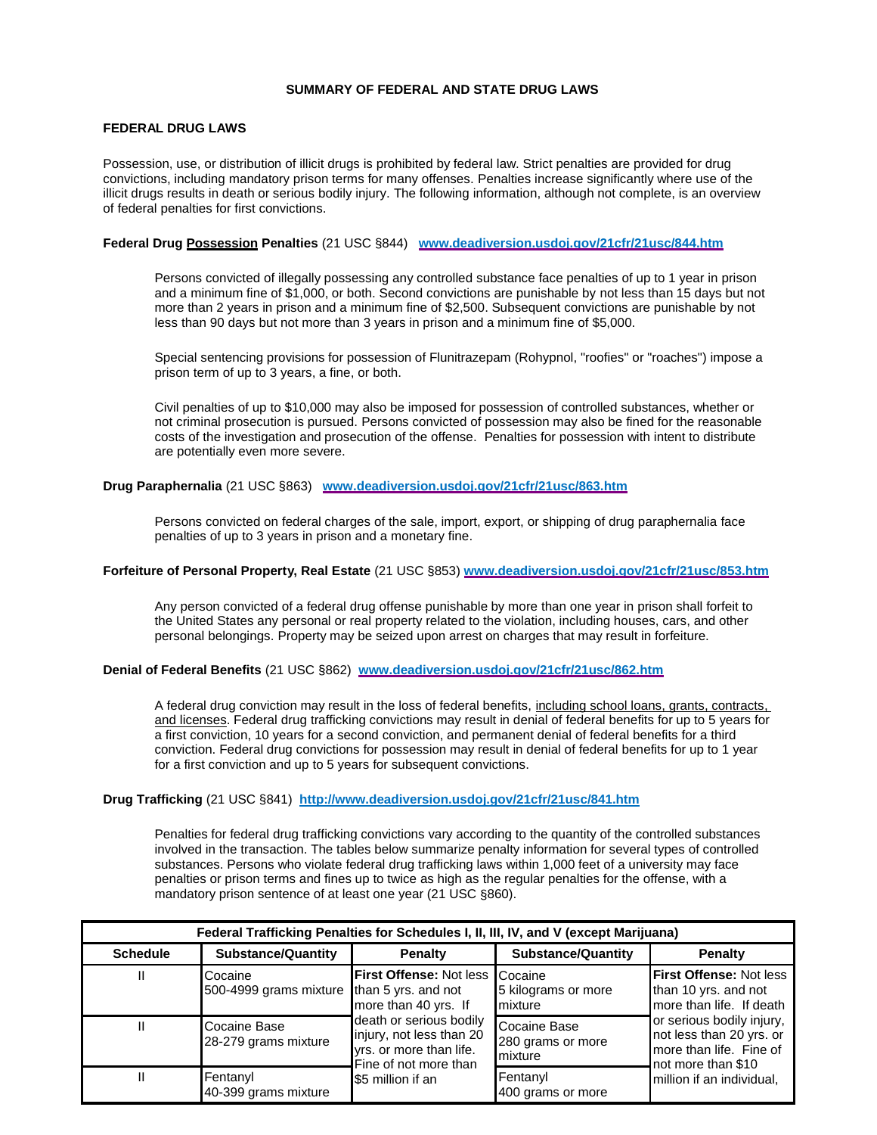### **SUMMARY OF FEDERAL AND STATE DRUG LAWS**

#### **FEDERAL DRUG LAWS**

Possession, use, or distribution of illicit drugs is prohibited by federal law. Strict penalties are provided for drug convictions, including mandatory prison terms for many offenses. Penalties increase significantly where use of the illicit drugs results in death or serious bodily injury. The following information, although not complete, is an overview of federal penalties for first convictions.

#### **Federal Drug Possession Penalties** (21 USC §844) **[www.deadiversion.usdoj.gov/21cfr/21usc/844.htm](http://www.deadiversion.usdoj.gov/21cfr/21usc/844.htm)**

Persons convicted of illegally possessing any controlled substance face penalties of up to 1 year in prison and a minimum fine of \$1,000, or both. Second convictions are punishable by not less than 15 days but not more than 2 years in prison and a minimum fine of \$2,500. Subsequent convictions are punishable by not less than 90 days but not more than 3 years in prison and a minimum fine of \$5,000.

Special sentencing provisions for possession of Flunitrazepam (Rohypnol, "roofies" or "roaches") impose a prison term of up to 3 years, a fine, or both.

Civil penalties of up to \$10,000 may also be imposed for possession of controlled substances, whether or not criminal prosecution is pursued. Persons convicted of possession may also be fined for the reasonable costs of the investigation and prosecution of the offense. Penalties for possession with intent to distribute are potentially even more severe.

# **Drug Paraphernalia** (21 USC §863) **[www.deadiversion.usdoj.gov/21cfr/21usc/863.htm](http://www.deadiversion.usdoj.gov/21cfr/21usc/863.htm)**

Persons convicted on federal charges of the sale, import, export, or shipping of drug paraphernalia face penalties of up to 3 years in prison and a monetary fine.

#### **Forfeiture of Personal Property, Real Estate** (21 USC §853) **[www.deadiversion.usdoj.gov/21cfr/21usc/853.htm](http://www.deadiversion.usdoj.gov/21cfr/21usc/853.htm)**

Any person convicted of a federal drug offense punishable by more than one year in prison shall forfeit to the United States any personal or real property related to the violation, including houses, cars, and other personal belongings. Property may be seized upon arrest on charges that may result in forfeiture.

#### **Denial of Federal Benefits** (21 USC §862) **[www.deadiversion.usdoj.gov/21cfr/21usc/862.htm](http://www.deadiversion.usdoj.gov/21cfr/21usc/862.htm)**

A federal drug conviction may result in the loss of federal benefits, including school loans, grants, contracts, and licenses. Federal drug trafficking convictions may result in denial of federal benefits for up to 5 years for a first conviction, 10 years for a second conviction, and permanent denial of federal benefits for a third conviction. Federal drug convictions for possession may result in denial of federal benefits for up to 1 year for a first conviction and up to 5 years for subsequent convictions.

## **Drug Trafficking** (21 USC §841) **<http://www.deadiversion.usdoj.gov/21cfr/21usc/841.htm>**

Penalties for federal drug trafficking convictions vary according to the quantity of the controlled substances involved in the transaction. The tables below summarize penalty information for several types of controlled substances. Persons who violate federal drug trafficking laws within 1,000 feet of a university may face penalties or prison terms and fines up to twice as high as the regular penalties for the offense, with a mandatory prison sentence of at least one year (21 USC §860).

| Federal Trafficking Penalties for Schedules I, II, III, IV, and V (except Marijuana) |                                                       |                                                                                                                                                                                        |                                              |                                                                                                                                                                                                                           |  |  |
|--------------------------------------------------------------------------------------|-------------------------------------------------------|----------------------------------------------------------------------------------------------------------------------------------------------------------------------------------------|----------------------------------------------|---------------------------------------------------------------------------------------------------------------------------------------------------------------------------------------------------------------------------|--|--|
| <b>Schedule</b>                                                                      | <b>Substance/Quantity</b>                             | Penalty                                                                                                                                                                                | <b>Substance/Quantity</b>                    | Penalty                                                                                                                                                                                                                   |  |  |
|                                                                                      | Cocaine<br>500-4999 grams mixture than 5 yrs. and not | First Offense: Not less Cocaine<br>more than 40 yrs. If<br>death or serious bodily<br>injury, not less than 20<br>yrs. or more than life.<br>Fine of not more than<br>S5 million if an | 5 kilograms or more<br>mixture               | <b>First Offense: Not less</b><br>than 10 yrs. and not<br>more than life. If death<br>or serious bodily injury.<br>not less than 20 yrs. or<br>more than life. Fine of<br>not more than \$10<br>million if an individual, |  |  |
|                                                                                      | Cocaine Base<br>28-279 grams mixture                  |                                                                                                                                                                                        | Cocaine Base<br>280 grams or more<br>mixture |                                                                                                                                                                                                                           |  |  |
|                                                                                      | Fentanyl<br>40-399 grams mixture                      |                                                                                                                                                                                        | Fentanyl<br>400 grams or more                |                                                                                                                                                                                                                           |  |  |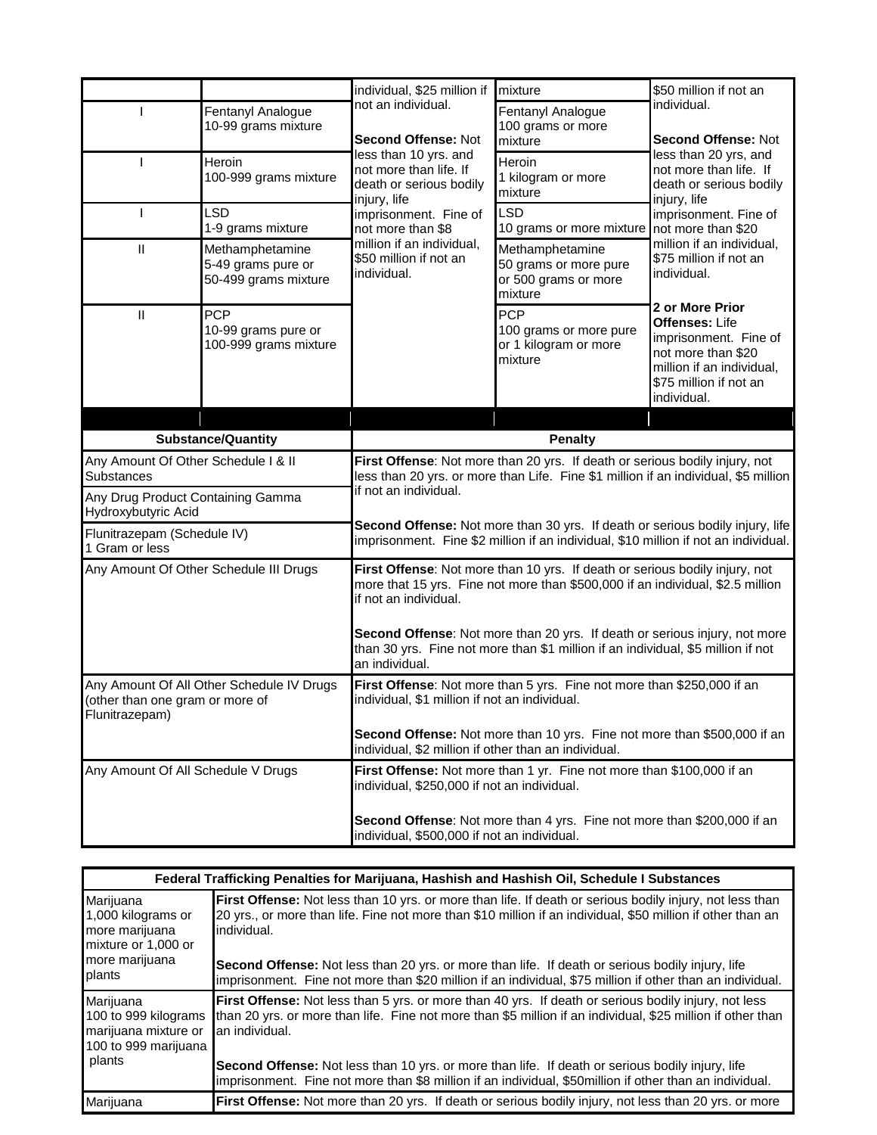|                                                                                                |                                                               | individual, \$25 million if                                                                                                                                                                                                                                                                                                                                         | mixture                                                                     | \$50 million if not an                                                                                                                                                                                                                                                                                                                                     |
|------------------------------------------------------------------------------------------------|---------------------------------------------------------------|---------------------------------------------------------------------------------------------------------------------------------------------------------------------------------------------------------------------------------------------------------------------------------------------------------------------------------------------------------------------|-----------------------------------------------------------------------------|------------------------------------------------------------------------------------------------------------------------------------------------------------------------------------------------------------------------------------------------------------------------------------------------------------------------------------------------------------|
|                                                                                                | Fentanyl Analogue<br>10-99 grams mixture                      | not an individual.<br><b>Second Offense: Not</b>                                                                                                                                                                                                                                                                                                                    | Fentanyl Analogue<br>100 grams or more<br>mixture                           | individual.<br>Second Offense: Not                                                                                                                                                                                                                                                                                                                         |
|                                                                                                | Heroin<br>100-999 grams mixture                               | less than 10 yrs. and<br>not more than life. If<br>death or serious bodily<br>injury, life<br>imprisonment. Fine of<br>not more than \$8<br>million if an individual,<br>\$50 million if not an<br>individual.                                                                                                                                                      | Heroin<br>1 kilogram or more<br>mixture                                     | less than 20 yrs, and<br>not more than life. If<br>death or serious bodily<br>injury, life<br>imprisonment. Fine of<br>million if an individual,<br>\$75 million if not an<br>individual.<br>2 or More Prior<br><b>Offenses: Life</b><br>imprisonment. Fine of<br>not more than \$20<br>million if an individual,<br>\$75 million if not an<br>individual. |
|                                                                                                | <b>LSD</b><br>1-9 grams mixture                               |                                                                                                                                                                                                                                                                                                                                                                     | <b>LSD</b><br>10 grams or more mixture not more than \$20                   |                                                                                                                                                                                                                                                                                                                                                            |
| $\mathsf{II}$                                                                                  | Methamphetamine<br>5-49 grams pure or<br>50-499 grams mixture |                                                                                                                                                                                                                                                                                                                                                                     | Methamphetamine<br>50 grams or more pure<br>or 500 grams or more<br>mixture |                                                                                                                                                                                                                                                                                                                                                            |
| $\mathbf{H}$                                                                                   | <b>PCP</b><br>10-99 grams pure or<br>100-999 grams mixture    |                                                                                                                                                                                                                                                                                                                                                                     | <b>PCP</b><br>100 grams or more pure<br>or 1 kilogram or more<br>mixture    |                                                                                                                                                                                                                                                                                                                                                            |
|                                                                                                |                                                               |                                                                                                                                                                                                                                                                                                                                                                     |                                                                             |                                                                                                                                                                                                                                                                                                                                                            |
|                                                                                                | <b>Substance/Quantity</b>                                     | <b>Penalty</b>                                                                                                                                                                                                                                                                                                                                                      |                                                                             |                                                                                                                                                                                                                                                                                                                                                            |
| Any Amount Of Other Schedule I & II<br>Substances                                              |                                                               | First Offense: Not more than 20 yrs. If death or serious bodily injury, not<br>less than 20 yrs. or more than Life. Fine \$1 million if an individual, \$5 million<br>if not an individual.<br>Second Offense: Not more than 30 yrs. If death or serious bodily injury, life<br>imprisonment. Fine \$2 million if an individual, \$10 million if not an individual. |                                                                             |                                                                                                                                                                                                                                                                                                                                                            |
| Any Drug Product Containing Gamma<br>Hydroxybutyric Acid                                       |                                                               |                                                                                                                                                                                                                                                                                                                                                                     |                                                                             |                                                                                                                                                                                                                                                                                                                                                            |
| Flunitrazepam (Schedule IV)<br>1 Gram or less                                                  |                                                               |                                                                                                                                                                                                                                                                                                                                                                     |                                                                             |                                                                                                                                                                                                                                                                                                                                                            |
| Any Amount Of Other Schedule III Drugs                                                         |                                                               | First Offense: Not more than 10 yrs. If death or serious bodily injury, not<br>more that 15 yrs. Fine not more than \$500,000 if an individual, \$2.5 million<br>if not an individual.<br>Second Offense: Not more than 20 yrs. If death or serious injury, not more                                                                                                |                                                                             |                                                                                                                                                                                                                                                                                                                                                            |
|                                                                                                |                                                               | than 30 yrs. Fine not more than \$1 million if an individual, \$5 million if not<br>an individual.                                                                                                                                                                                                                                                                  |                                                                             |                                                                                                                                                                                                                                                                                                                                                            |
| Any Amount Of All Other Schedule IV Drugs<br>(other than one gram or more of<br>Flunitrazepam) |                                                               | First Offense: Not more than 5 yrs. Fine not more than \$250,000 if an<br>individual, \$1 million if not an individual.                                                                                                                                                                                                                                             |                                                                             |                                                                                                                                                                                                                                                                                                                                                            |
|                                                                                                |                                                               | <b>Second Offense:</b> Not more than 10 yrs. Fine not more than \$500,000 if an<br>individual, \$2 million if other than an individual.                                                                                                                                                                                                                             |                                                                             |                                                                                                                                                                                                                                                                                                                                                            |
| Any Amount Of All Schedule V Drugs                                                             |                                                               | First Offense: Not more than 1 yr. Fine not more than \$100,000 if an<br>individual, \$250,000 if not an individual.                                                                                                                                                                                                                                                |                                                                             |                                                                                                                                                                                                                                                                                                                                                            |
|                                                                                                |                                                               | Second Offense: Not more than 4 yrs. Fine not more than \$200,000 if an<br>individual, \$500,000 if not an individual.                                                                                                                                                                                                                                              |                                                                             |                                                                                                                                                                                                                                                                                                                                                            |

| Federal Trafficking Penalties for Marijuana, Hashish and Hashish Oil, Schedule I Substances |                                                                                                                                                                                                                                                                                                                                                  |  |  |
|---------------------------------------------------------------------------------------------|--------------------------------------------------------------------------------------------------------------------------------------------------------------------------------------------------------------------------------------------------------------------------------------------------------------------------------------------------|--|--|
| Marijuana<br>1,000 kilograms or<br>more marijuana<br>mixture or 1,000 or                    | <b>First Offense:</b> Not less than 10 yrs. or more than life. If death or serious bodily injury, not less than<br>20 yrs., or more than life. Fine not more than \$10 million if an individual, \$50 million if other than an<br>individual.                                                                                                    |  |  |
| more marijuana<br>plants                                                                    | <b>Second Offense:</b> Not less than 20 yrs. or more than life. If death or serious bodily injury, life<br>imprisonment. Fine not more than \$20 million if an individual, \$75 million if other than an individual.                                                                                                                             |  |  |
| Marijuana<br>100 to 999 kilograms<br>marijuana mixture or<br>100 to 999 marijuana<br>plants | <b>First Offense:</b> Not less than 5 yrs. or more than 40 yrs. If death or serious bodily injury, not less<br>than 20 yrs. or more than life. Fine not more than \$5 million if an individual, \$25 million if other than<br>an individual.<br>Second Offense: Not less than 10 yrs. or more than life. If death or serious bodily injury, life |  |  |
|                                                                                             | imprisonment. Fine not more than \$8 million if an individual, \$50 million if other than an individual.                                                                                                                                                                                                                                         |  |  |
| Marijuana                                                                                   | <b>First Offense:</b> Not more than 20 yrs. If death or serious bodily injury, not less than 20 yrs. or more                                                                                                                                                                                                                                     |  |  |